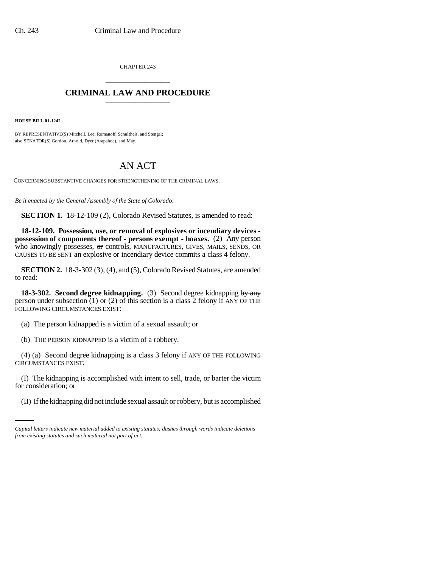CHAPTER 243 \_\_\_\_\_\_\_\_\_\_\_\_\_\_\_

## **CRIMINAL LAW AND PROCEDURE** \_\_\_\_\_\_\_\_\_\_\_\_\_\_\_

**HOUSE BILL 01-1242**

BY REPRESENTATIVE(S) Mitchell, Lee, Romanoff, Schultheis, and Stengel; also SENATOR(S) Gordon, Arnold, Dyer (Arapahoe), and May.

## AN ACT

CONCERNING SUBSTANTIVE CHANGES FOR STRENGTHENING OF THE CRIMINAL LAWS.

*Be it enacted by the General Assembly of the State of Colorado:*

**SECTION 1.** 18-12-109 (2), Colorado Revised Statutes, is amended to read:

**18-12-109. Possession, use, or removal of explosives or incendiary devices possession of components thereof - persons exempt - hoaxes.** (2) Any person who knowingly possesses,  $\Theta$  controls, MANUFACTURES, GIVES, MAILS, SENDS, OR CAUSES TO BE SENT an explosive or incendiary device commits a class 4 felony.

**SECTION 2.** 18-3-302 (3), (4), and (5), Colorado Revised Statutes, are amended to read:

**18-3-302. Second degree kidnapping.** (3) Second degree kidnapping by any person under subsection  $(1)$  or  $(2)$  of this section is a class 2 felony if ANY OF THE FOLLOWING CIRCUMSTANCES EXIST:

(a) The person kidnapped is a victim of a sexual assault; or

(b) THE PERSON KIDNAPPED is a victim of a robbery.

(4) (a) Second degree kidnapping is a class 3 felony if ANY OF THE FOLLOWING CIRCUMSTANCES EXIST:

for consideration; or (I) The kidnapping is accomplished with intent to sell, trade, or barter the victim

(II) If the kidnapping did not include sexual assault or robbery, but is accomplished

*Capital letters indicate new material added to existing statutes; dashes through words indicate deletions from existing statutes and such material not part of act.*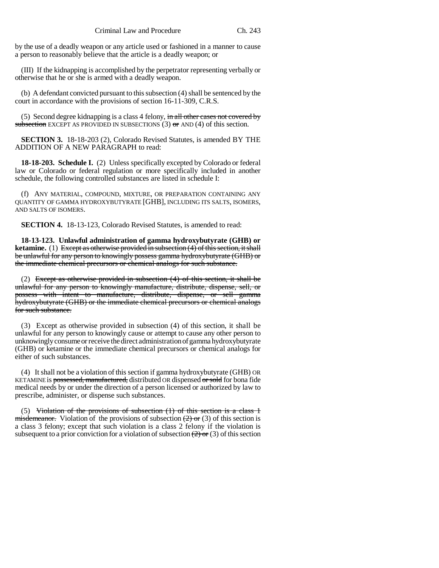by the use of a deadly weapon or any article used or fashioned in a manner to cause a person to reasonably believe that the article is a deadly weapon; or

(III) If the kidnapping is accomplished by the perpetrator representing verbally or otherwise that he or she is armed with a deadly weapon.

(b) A defendant convicted pursuant to this subsection (4) shall be sentenced by the court in accordance with the provisions of section 16-11-309, C.R.S.

(5) Second degree kidnapping is a class 4 felony, in all other cases not covered by subsection EXCEPT AS PROVIDED IN SUBSECTIONS  $(3)$  or AND  $(4)$  of this section.

**SECTION 3.** 18-18-203 (2), Colorado Revised Statutes, is amended BY THE ADDITION OF A NEW PARAGRAPH to read:

**18-18-203. Schedule I.** (2) Unless specifically excepted by Colorado or federal law or Colorado or federal regulation or more specifically included in another schedule, the following controlled substances are listed in schedule I:

(f) ANY MATERIAL, COMPOUND, MIXTURE, OR PREPARATION CONTAINING ANY QUANTITY OF GAMMA HYDROXYBUTYRATE [GHB], INCLUDING ITS SALTS, ISOMERS, AND SALTS OF ISOMERS.

**SECTION 4.** 18-13-123, Colorado Revised Statutes, is amended to read:

**18-13-123. Unlawful administration of gamma hydroxybutyrate (GHB) or ketamine.** (1) Except as otherwise provided in subsection (4) of this section, it shall be unlawful for any person to knowingly possess gamma hydroxybutyrate (GHB) or the immediate chemical precursors or chemical analogs for such substance.

(2) Except as otherwise provided in subsection (4) of this section, it shall be unlawful for any person to knowingly manufacture, distribute, dispense, sell, or possess with intent to manufacture, distribute, dispense, or sell gamma hydroxybutyrate (GHB) or the immediate chemical precursors or chemical analogs for such substance.

(3) Except as otherwise provided in subsection (4) of this section, it shall be unlawful for any person to knowingly cause or attempt to cause any other person to unknowingly consume or receive the direct administration of gamma hydroxybutyrate (GHB) or ketamine or the immediate chemical precursors or chemical analogs for either of such substances.

(4) It shall not be a violation of this section if gamma hydroxybutyrate (GHB) OR KETAMINE is possessed, manufactured, distributed OR dispensed or sold for bona fide medical needs by or under the direction of a person licensed or authorized by law to prescribe, administer, or dispense such substances.

(5) Violation of the provisions of subsection  $(1)$  of this section is a class 1 misdemeanor. Violation of the provisions of subsection  $(2)$  or  $(3)$  of this section is a class 3 felony; except that such violation is a class 2 felony if the violation is subsequent to a prior conviction for a violation of subsection  $(2)$  or  $(3)$  of this section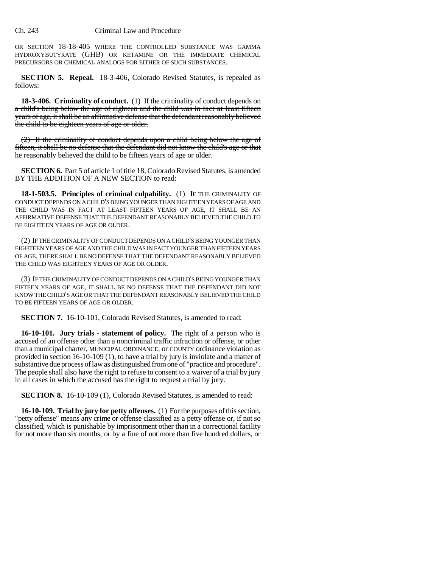OR SECTION 18-18-405 WHERE THE CONTROLLED SUBSTANCE WAS GAMMA HYDROXYBUTYRATE (GHB) OR KETAMINE OR THE IMMEDIATE CHEMICAL PRECURSORS OR CHEMICAL ANALOGS FOR EITHER OF SUCH SUBSTANCES.

**SECTION 5. Repeal.** 18-3-406, Colorado Revised Statutes, is repealed as follows:

**18-3-406. Criminality of conduct.** (1) If the criminality of conduct depends on a child's being below the age of eighteen and the child was in fact at least fifteen years of age, it shall be an affirmative defense that the defendant reasonably believed the child to be eighteen years of age or older.

(2) If the criminality of conduct depends upon a child being below the age of fifteen, it shall be no defense that the defendant did not know the child's age or that he reasonably believed the child to be fifteen years of age or older.

**SECTION 6.** Part 5 of article 1 of title 18, Colorado Revised Statutes, is amended BY THE ADDITION OF A NEW SECTION to read:

**18-1-503.5. Principles of criminal culpability.** (1) IF THE CRIMINALITY OF CONDUCT DEPENDS ON A CHILD'S BEING YOUNGER THAN EIGHTEEN YEARS OF AGE AND THE CHILD WAS IN FACT AT LEAST FIFTEEN YEARS OF AGE, IT SHALL BE AN AFFIRMATIVE DEFENSE THAT THE DEFENDANT REASONABLY BELIEVED THE CHILD TO BE EIGHTEEN YEARS OF AGE OR OLDER.

(2) IF THE CRIMINALITY OF CONDUCT DEPENDS ON A CHILD'S BEING YOUNGER THAN EIGHTEEN YEARS OF AGE AND THE CHILD WAS IN FACT YOUNGER THAN FIFTEEN YEARS OF AGE, THERE SHALL BE NO DEFENSE THAT THE DEFENDANT REASONABLY BELIEVED THE CHILD WAS EIGHTEEN YEARS OF AGE OR OLDER.

(3) IF THE CRIMINALITY OF CONDUCT DEPENDS ON A CHILD'S BEING YOUNGER THAN FIFTEEN YEARS OF AGE, IT SHALL BE NO DEFENSE THAT THE DEFENDANT DID NOT KNOW THE CHILD'S AGE OR THAT THE DEFENDANT REASONABLY BELIEVED THE CHILD TO BE FIFTEEN YEARS OF AGE OR OLDER.

**SECTION 7.** 16-10-101, Colorado Revised Statutes, is amended to read:

**16-10-101. Jury trials - statement of policy.** The right of a person who is accused of an offense other than a noncriminal traffic infraction or offense, or other than a municipal charter, MUNICIPAL ORDINANCE, or COUNTY ordinance violation as provided in section 16-10-109 (1), to have a trial by jury is inviolate and a matter of substantive due process of law as distinguished from one of "practice and procedure". The people shall also have the right to refuse to consent to a waiver of a trial by jury in all cases in which the accused has the right to request a trial by jury.

**SECTION 8.** 16-10-109 (1), Colorado Revised Statutes, is amended to read:

**16-10-109. Trial by jury for petty offenses.** (1) For the purposes of this section, "petty offense" means any crime or offense classified as a petty offense or, if not so classified, which is punishable by imprisonment other than in a correctional facility for not more than six months, or by a fine of not more than five hundred dollars, or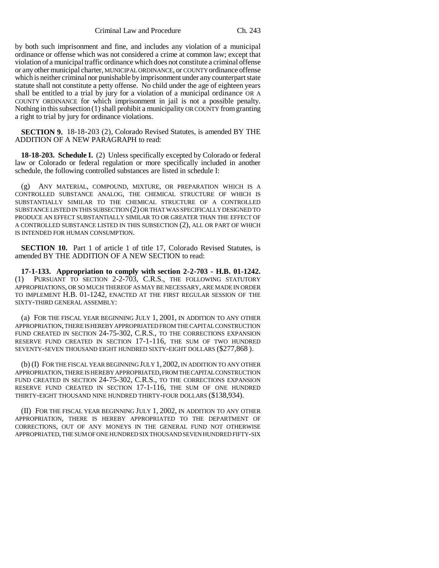Criminal Law and Procedure Ch. 243

by both such imprisonment and fine, and includes any violation of a municipal ordinance or offense which was not considered a crime at common law; except that violation of a municipal traffic ordinance which does not constitute a criminal offense or any other municipal charter, MUNICIPAL ORDINANCE, or COUNTY ordinance offense which is neither criminal nor punishable by imprisonment under any counterpart state statute shall not constitute a petty offense. No child under the age of eighteen years shall be entitled to a trial by jury for a violation of a municipal ordinance OR A COUNTY ORDINANCE for which imprisonment in jail is not a possible penalty. Nothing in this subsection (1) shall prohibit a municipality OR COUNTY from granting a right to trial by jury for ordinance violations.

**SECTION 9.** 18-18-203 (2), Colorado Revised Statutes, is amended BY THE ADDITION OF A NEW PARAGRAPH to read:

**18-18-203. Schedule I.** (2) Unless specifically excepted by Colorado or federal law or Colorado or federal regulation or more specifically included in another schedule, the following controlled substances are listed in schedule I:

(g) ANY MATERIAL, COMPOUND, MIXTURE, OR PREPARATION WHICH IS A CONTROLLED SUBSTANCE ANALOG, THE CHEMICAL STRUCTURE OF WHICH IS SUBSTANTIALLY SIMILAR TO THE CHEMICAL STRUCTURE OF A CONTROLLED SUBSTANCE LISTED IN THIS SUBSECTION (2) OR THAT WAS SPECIFICALLY DESIGNED TO PRODUCE AN EFFECT SUBSTANTIALLY SIMILAR TO OR GREATER THAN THE EFFECT OF A CONTROLLED SUBSTANCE LISTED IN THIS SUBSECTION (2), ALL OR PART OF WHICH IS INTENDED FOR HUMAN CONSUMPTION.

**SECTION 10.** Part 1 of article 1 of title 17, Colorado Revised Statutes, is amended BY THE ADDITION OF A NEW SECTION to read:

**17-1-133. Appropriation to comply with section 2-2-703 - H.B. 01-1242.** (1) PURSUANT TO SECTION 2-2-703, C.R.S., THE FOLLOWING STATUTORY APPROPRIATIONS, OR SO MUCH THEREOF AS MAY BE NECESSARY, ARE MADE IN ORDER TO IMPLEMENT H.B. 01-1242, ENACTED AT THE FIRST REGULAR SESSION OF THE SIXTY-THIRD GENERAL ASSEMBLY:

(a) FOR THE FISCAL YEAR BEGINNING JULY 1, 2001, IN ADDITION TO ANY OTHER APPROPRIATION, THERE IS HEREBY APPROPRIATED FROM THE CAPITAL CONSTRUCTION FUND CREATED IN SECTION 24-75-302, C.R.S., TO THE CORRECTIONS EXPANSION RESERVE FUND CREATED IN SECTION 17-1-116, THE SUM OF TWO HUNDRED SEVENTY-SEVEN THOUSAND EIGHT HUNDRED SIXTY-EIGHT DOLLARS (\$277,868 ).

(b) (I) FOR THE FISCAL YEAR BEGINNING JULY 1, 2002, IN ADDITION TO ANY OTHER APPROPRIATION, THERE IS HEREBY APPROPRIATED, FROM THE CAPITAL CONSTRUCTION FUND CREATED IN SECTION 24-75-302, C.R.S., TO THE CORRECTIONS EXPANSION RESERVE FUND CREATED IN SECTION 17-1-116, THE SUM OF ONE HUNDRED THIRTY-EIGHT THOUSAND NINE HUNDRED THIRTY-FOUR DOLLARS (\$138,934).

(II) FOR THE FISCAL YEAR BEGINNING JULY 1, 2002, IN ADDITION TO ANY OTHER APPROPRIATION, THERE IS HEREBY APPROPRIATED TO THE DEPARTMENT OF CORRECTIONS, OUT OF ANY MONEYS IN THE GENERAL FUND NOT OTHERWISE APPROPRIATED, THE SUM OF ONE HUNDRED SIX THOUSAND SEVEN HUNDRED FIFTY-SIX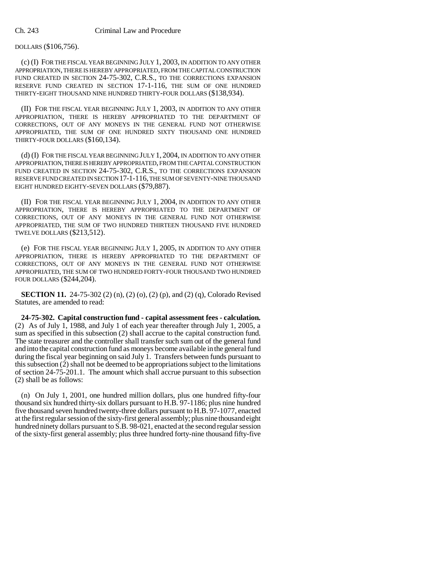DOLLARS (\$106,756).

(c) (I) FOR THE FISCAL YEAR BEGINNING JULY 1, 2003, IN ADDITION TO ANY OTHER APPROPRIATION, THERE IS HEREBY APPROPRIATED, FROM THE CAPITAL CONSTRUCTION FUND CREATED IN SECTION 24-75-302, C.R.S., TO THE CORRECTIONS EXPANSION RESERVE FUND CREATED IN SECTION 17-1-116, THE SUM OF ONE HUNDRED THIRTY-EIGHT THOUSAND NINE HUNDRED THIRTY-FOUR DOLLARS (\$138,934).

(II) FOR THE FISCAL YEAR BEGINNING JULY 1, 2003, IN ADDITION TO ANY OTHER APPROPRIATION, THERE IS HEREBY APPROPRIATED TO THE DEPARTMENT OF CORRECTIONS, OUT OF ANY MONEYS IN THE GENERAL FUND NOT OTHERWISE APPROPRIATED, THE SUM OF ONE HUNDRED SIXTY THOUSAND ONE HUNDRED THIRTY-FOUR DOLLARS (\$160,134).

(d) (I) FOR THE FISCAL YEAR BEGINNING JULY 1, 2004, IN ADDITION TO ANY OTHER APPROPRIATION, THERE IS HEREBY APPROPRIATED, FROM THE CAPITAL CONSTRUCTION FUND CREATED IN SECTION 24-75-302, C.R.S., TO THE CORRECTIONS EXPANSION RESERVE FUND CREATED IN SECTION 17-1-116, THE SUM OF SEVENTY-NINE THOUSAND EIGHT HUNDRED EIGHTY-SEVEN DOLLARS (\$79,887).

(II) FOR THE FISCAL YEAR BEGINNING JULY 1, 2004, IN ADDITION TO ANY OTHER APPROPRIATION, THERE IS HEREBY APPROPRIATED TO THE DEPARTMENT OF CORRECTIONS, OUT OF ANY MONEYS IN THE GENERAL FUND NOT OTHERWISE APPROPRIATED, THE SUM OF TWO HUNDRED THIRTEEN THOUSAND FIVE HUNDRED TWELVE DOLLARS (\$213,512).

(e) FOR THE FISCAL YEAR BEGINNING JULY 1, 2005, IN ADDITION TO ANY OTHER APPROPRIATION, THERE IS HEREBY APPROPRIATED TO THE DEPARTMENT OF CORRECTIONS, OUT OF ANY MONEYS IN THE GENERAL FUND NOT OTHERWISE APPROPRIATED, THE SUM OF TWO HUNDRED FORTY-FOUR THOUSAND TWO HUNDRED FOUR DOLLARS (\$244,204).

**SECTION 11.** 24-75-302 (2) (n), (2) (o), (2) (p), and (2) (q), Colorado Revised Statutes, are amended to read:

**24-75-302. Capital construction fund - capital assessment fees - calculation.** (2) As of July 1, 1988, and July 1 of each year thereafter through July 1, 2005, a sum as specified in this subsection (2) shall accrue to the capital construction fund. The state treasurer and the controller shall transfer such sum out of the general fund and into the capital construction fund as moneys become available in the general fund during the fiscal year beginning on said July 1. Transfers between funds pursuant to this subsection (2) shall not be deemed to be appropriations subject to the limitations of section 24-75-201.1. The amount which shall accrue pursuant to this subsection (2) shall be as follows:

(n) On July 1, 2001, one hundred million dollars, plus one hundred fifty-four thousand six hundred thirty-six dollars pursuant to H.B. 97-1186; plus nine hundred five thousand seven hundred twenty-three dollars pursuant to H.B. 97-1077, enacted at the first regular session of the sixty-first general assembly; plus nine thousand eight hundred ninety dollars pursuant to S.B. 98-021, enacted at the second regular session of the sixty-first general assembly; plus three hundred forty-nine thousand fifty-five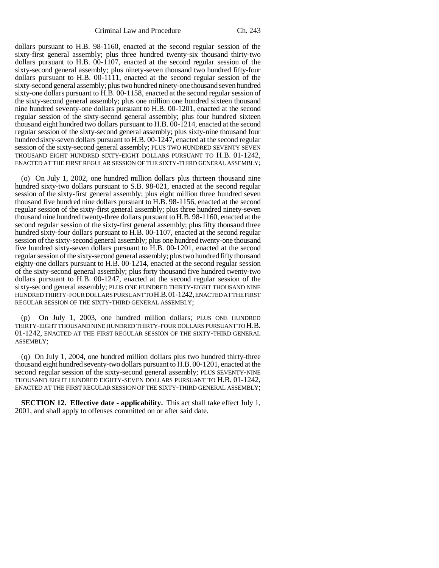dollars pursuant to H.B. 98-1160, enacted at the second regular session of the sixty-first general assembly; plus three hundred twenty-six thousand thirty-two dollars pursuant to H.B. 00-1107, enacted at the second regular session of the sixty-second general assembly; plus ninety-seven thousand two hundred fifty-four dollars pursuant to H.B. 00-1111, enacted at the second regular session of the sixty-second general assembly; plus two hundred ninety-one thousand seven hundred sixty-one dollars pursuant to H.B. 00-1158, enacted at the second regular session of the sixty-second general assembly; plus one million one hundred sixteen thousand nine hundred seventy-one dollars pursuant to H.B. 00-1201, enacted at the second regular session of the sixty-second general assembly; plus four hundred sixteen thousand eight hundred two dollars pursuant to H.B. 00-1214, enacted at the second regular session of the sixty-second general assembly; plus sixty-nine thousand four hundred sixty-seven dollars pursuant to H.B. 00-1247, enacted at the second regular session of the sixty-second general assembly; PLUS TWO HUNDRED SEVENTY SEVEN THOUSAND EIGHT HUNDRED SIXTY-EIGHT DOLLARS PURSUANT TO H.B. 01-1242, ENACTED AT THE FIRST REGULAR SESSION OF THE SIXTY-THIRD GENERAL ASSEMBLY;

(o) On July 1, 2002, one hundred million dollars plus thirteen thousand nine hundred sixty-two dollars pursuant to S.B. 98-021, enacted at the second regular session of the sixty-first general assembly; plus eight million three hundred seven thousand five hundred nine dollars pursuant to H.B. 98-1156, enacted at the second regular session of the sixty-first general assembly; plus three hundred ninety-seven thousand nine hundred twenty-three dollars pursuant to H.B. 98-1160, enacted at the second regular session of the sixty-first general assembly; plus fifty thousand three hundred sixty-four dollars pursuant to H.B. 00-1107, enacted at the second regular session of the sixty-second general assembly; plus one hundred twenty-one thousand five hundred sixty-seven dollars pursuant to H.B. 00-1201, enacted at the second regular session of the sixty-second general assembly; plus two hundred fifty thousand eighty-one dollars pursuant to H.B. 00-1214, enacted at the second regular session of the sixty-second general assembly; plus forty thousand five hundred twenty-two dollars pursuant to H.B. 00-1247, enacted at the second regular session of the sixty-second general assembly; PLUS ONE HUNDRED THIRTY-EIGHT THOUSAND NINE HUNDRED THIRTY-FOUR DOLLARS PURSUANT TO H.B.01-1242, ENACTED AT THE FIRST REGULAR SESSION OF THE SIXTY-THIRD GENERAL ASSEMBLY;

(p) On July 1, 2003, one hundred million dollars; PLUS ONE HUNDRED THIRTY-EIGHT THOUSAND NINE HUNDRED THIRTY-FOUR DOLLARS PURSUANT TO H.B. 01-1242, ENACTED AT THE FIRST REGULAR SESSION OF THE SIXTY-THIRD GENERAL ASSEMBLY;

(q) On July 1, 2004, one hundred million dollars plus two hundred thirty-three thousand eight hundred seventy-two dollars pursuant to H.B. 00-1201, enacted at the second regular session of the sixty-second general assembly; PLUS SEVENTY-NINE THOUSAND EIGHT HUNDRED EIGHTY-SEVEN DOLLARS PURSUANT TO H.B. 01-1242, ENACTED AT THE FIRST REGULAR SESSION OF THE SIXTY-THIRD GENERAL ASSEMBLY;

**SECTION 12. Effective date - applicability.** This act shall take effect July 1, 2001, and shall apply to offenses committed on or after said date.